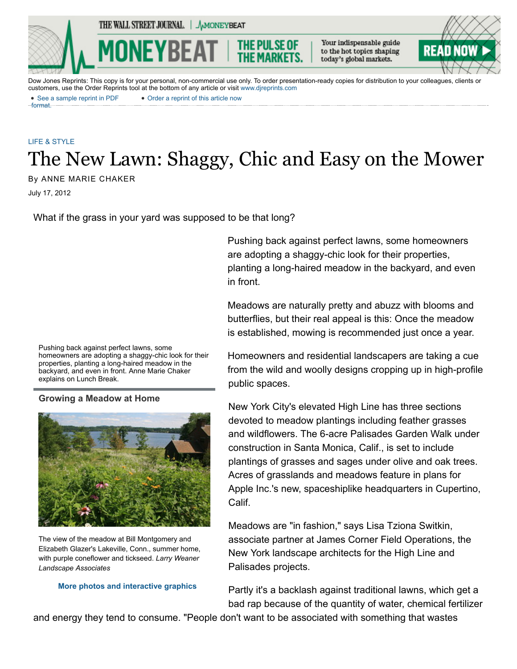THE WALL STREET JOURNAL. | AMONEYBEAT

Your indispensable guide to the hot topics shaping today's global markets.



Dow Jones Reprints: This copy is for your personal, non-commercial use only. To order presentation-ready copies for distribution to your colleagues, clients or customers, use the Order Reprints tool at the bottom of any article or visit [www.djreprints.com](http://www.djreprints.com/)

# [LIFE & STYLE](http://www.wsj.com/public/search?article-doc-type=%7BLife+%26+Style%7D&HEADER_TEXT=life+%26+style) The New Lawn: Shaggy, Chic and Easy on the Mower

July 17, 2012 By ANNE MARIE CHAKER

format.

What if the grass in your yard was supposed to be that long?

Pushing back against perfect lawns, some homeowners are adopting a shaggy-chic look for their properties, planting a long-haired meadow in the backyard, and even in front. Anne Marie Chaker explains on Lunch Break.

### **Growing a Meadow at Home**



The view of the meadow at Bill Montgomery and Elizabeth Glazer's Lakeville, Conn., summer home, with purple coneflower and tickseed. *Larry Weaner Landscape Associates*

#### **[More photos and interactive graphics](http://online.wsj.com/public/page/0_0_WP_2003.html)**

Pushing back against perfect lawns, some homeowners are adopting a shaggy-chic look for their properties, planting a long-haired meadow in the backyard, and even in front.

Meadows are naturally pretty and abuzz with blooms and butterflies, but their real appeal is this: Once the meadow is established, mowing is recommended just once a year.

Homeowners and residential landscapers are taking a cue from the wild and woolly designs cropping up in high-profile public spaces.

New York City's elevated High Line has three sections devoted to meadow plantings including feather grasses and wildflowers. The 6-acre Palisades Garden Walk under construction in Santa Monica, Calif., is set to include plantings of grasses and sages under olive and oak trees. Acres of grasslands and meadows feature in plans for Apple Inc.'s new, spaceshiplike headquarters in Cupertino, Calif.

Meadows are "in fashion," says Lisa Tziona Switkin, associate partner at James Corner Field Operations, the New York landscape architects for the High Line and Palisades projects.

Partly it's a backlash against traditional lawns, which get a bad rap because of the quantity of water, chemical fertilizer

and energy they tend to consume. "People don't want to be associated with something that wastes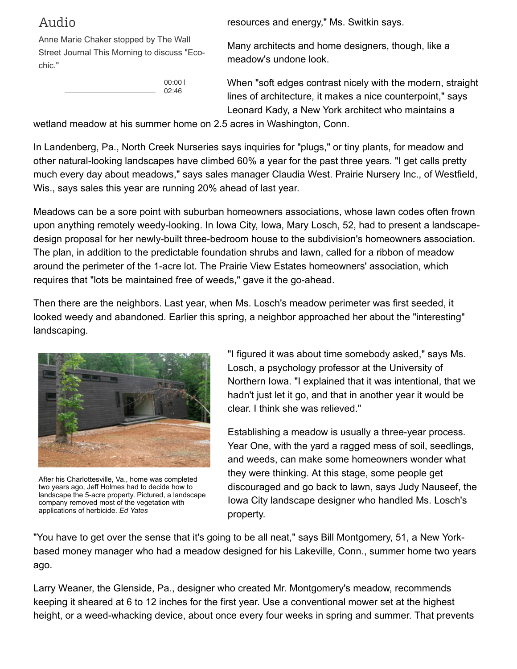## Audio

Anne Marie Chaker stopped by The Wall Street Journal This Morning to discuss "Ecochic."

> 00:00 | 02:46

resources and energy," Ms. Switkin says.

Many architects and home designers, though, like a meadow's undone look.

When "soft edges contrast nicely with the modern, straight lines of architecture, it makes a nice counterpoint," says Leonard Kady, a New York architect who maintains a

wetland meadow at his summer home on 2.5 acres in Washington, Conn.

In Landenberg, Pa., North Creek Nurseries says inquiries for "plugs," or tiny plants, for meadow and other natural-looking landscapes have climbed 60% a year for the past three years. "I get calls pretty much every day about meadows," says sales manager Claudia West. Prairie Nursery Inc., of Westfield, Wis., says sales this year are running 20% ahead of last year.

Meadows can be a sore point with suburban homeowners associations, whose lawn codes often frown upon anything remotely weedy-looking. In Iowa City, Iowa, Mary Losch, 52, had to present a landscapedesign proposal for her newly-built three-bedroom house to the subdivision's homeowners association. The plan, in addition to the predictable foundation shrubs and lawn, called for a ribbon of meadow around the perimeter of the 1-acre lot. The Prairie View Estates homeowners' association, which requires that "lots be maintained free of weeds," gave it the go-ahead.

Then there are the neighbors. Last year, when Ms. Losch's meadow perimeter was first seeded, it looked weedy and abandoned. Earlier this spring, a neighbor approached her about the "interesting" landscaping.



After his Charlottesville, Va., home was completed two years ago, Jeff Holmes had to decide how to landscape the 5-acre property. Pictured, a landscape company removed most of the vegetation with applications of herbicide. *Ed Yates*

"I figured it was about time somebody asked," says Ms. Losch, a psychology professor at the University of Northern Iowa. "I explained that it was intentional, that we hadn't just let it go, and that in another year it would be clear. I think she was relieved."

Establishing a meadow is usually a three-year process. Year One, with the yard a ragged mess of soil, seedlings, and weeds, can make some homeowners wonder what they were thinking. At this stage, some people get discouraged and go back to lawn, says Judy Nauseef, the Iowa City landscape designer who handled Ms. Losch's property.

"You have to get over the sense that it's going to be all neat," says Bill Montgomery, 51, a New Yorkbased money manager who had a meadow designed for his Lakeville, Conn., summer home two years ago.

Larry Weaner, the Glenside, Pa., designer who created Mr. Montgomery's meadow, recommends keeping it sheared at 6 to 12 inches for the first year. Use a conventional mower set at the highest height, or a weed-whacking device, about once every four weeks in spring and summer. That prevents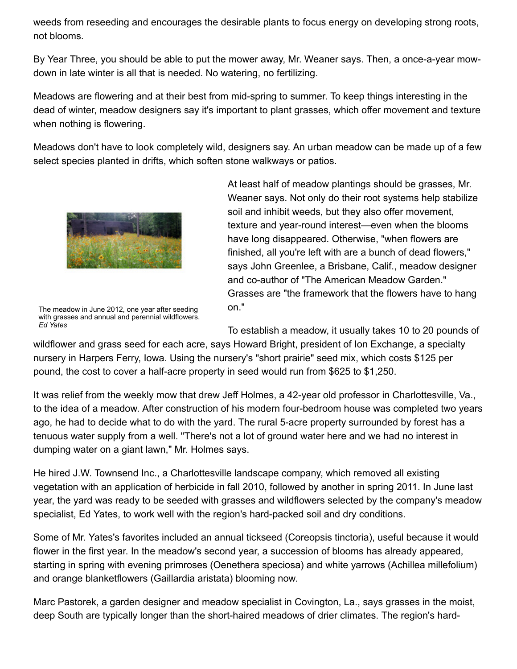weeds from reseeding and encourages the desirable plants to focus energy on developing strong roots, not blooms.

By Year Three, you should be able to put the mower away, Mr. Weaner says. Then, a once-a-year mowdown in late winter is all that is needed. No watering, no fertilizing.

Meadows are flowering and at their best from mid-spring to summer. To keep things interesting in the dead of winter, meadow designers say it's important to plant grasses, which offer movement and texture when nothing is flowering.

Meadows don't have to look completely wild, designers say. An urban meadow can be made up of a few select species planted in drifts, which soften stone walkways or patios.



The meadow in June 2012, one year after seeding with grasses and annual and perennial wildflowers. *Ed Yates*

At least half of meadow plantings should be grasses, Mr. Weaner says. Not only do their root systems help stabilize soil and inhibit weeds, but they also offer movement, texture and year-round interest—even when the blooms have long disappeared. Otherwise, "when flowers are finished, all you're left with are a bunch of dead flowers," says John Greenlee, a Brisbane, Calif., meadow designer and co-author of "The American Meadow Garden." Grasses are "the framework that the flowers have to hang on."

To establish a meadow, it usually takes 10 to 20 pounds of

wildflower and grass seed for each acre, says Howard Bright, president of Ion Exchange, a specialty nursery in Harpers Ferry, Iowa. Using the nursery's "short prairie" seed mix, which costs \$125 per pound, the cost to cover a half-acre property in seed would run from \$625 to \$1,250.

It was relief from the weekly mow that drew Jeff Holmes, a 42-year old professor in Charlottesville, Va., to the idea of a meadow. After construction of his modern four-bedroom house was completed two years ago, he had to decide what to do with the yard. The rural 5-acre property surrounded by forest has a tenuous water supply from a well. "There's not a lot of ground water here and we had no interest in dumping water on a giant lawn," Mr. Holmes says.

He hired J.W. Townsend Inc., a Charlottesville landscape company, which removed all existing vegetation with an application of herbicide in fall 2010, followed by another in spring 2011. In June last year, the yard was ready to be seeded with grasses and wildflowers selected by the company's meadow specialist, Ed Yates, to work well with the region's hard-packed soil and dry conditions.

Some of Mr. Yates's favorites included an annual tickseed (Coreopsis tinctoria), useful because it would flower in the first year. In the meadow's second year, a succession of blooms has already appeared, starting in spring with evening primroses (Oenethera speciosa) and white yarrows (Achillea millefolium) and orange blanketflowers (Gaillardia aristata) blooming now.

Marc Pastorek, a garden designer and meadow specialist in Covington, La., says grasses in the moist, deep South are typically longer than the short-haired meadows of drier climates. The region's hard